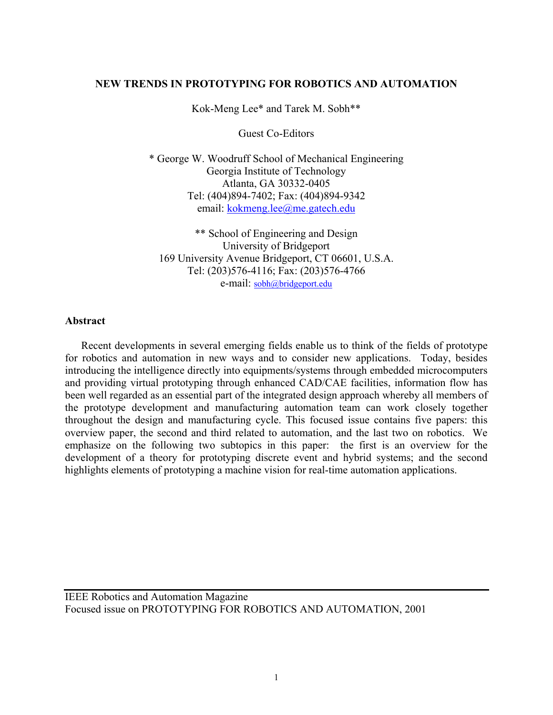## **NEW TRENDS IN PROTOTYPING FOR ROBOTICS AND AUTOMATION**

Kok-Meng Lee\* and Tarek M. Sobh\*\*

Guest Co-Editors

\* George W. Woodruff School of Mechanical Engineering Georgia Institute of Technology Atlanta, GA 30332-0405 Tel: (404)894-7402; Fax: (404)894-9342 email: kokmeng.lee@me.gatech.edu

\*\* School of Engineering and Design University of Bridgeport 169 University Avenue Bridgeport, CT 06601, U.S.A. Tel: (203)576-4116; Fax: (203)576-4766 e-mail: sobh@bridgeport.edu

## **Abstract**

Recent developments in several emerging fields enable us to think of the fields of prototype for robotics and automation in new ways and to consider new applications. Today, besides introducing the intelligence directly into equipments/systems through embedded microcomputers and providing virtual prototyping through enhanced CAD/CAE facilities, information flow has been well regarded as an essential part of the integrated design approach whereby all members of the prototype development and manufacturing automation team can work closely together throughout the design and manufacturing cycle. This focused issue contains five papers: this overview paper, the second and third related to automation, and the last two on robotics. We emphasize on the following two subtopics in this paper: the first is an overview for the development of a theory for prototyping discrete event and hybrid systems; and the second highlights elements of prototyping a machine vision for real-time automation applications.

IEEE Robotics and Automation Magazine Focused issue on PROTOTYPING FOR ROBOTICS AND AUTOMATION, 2001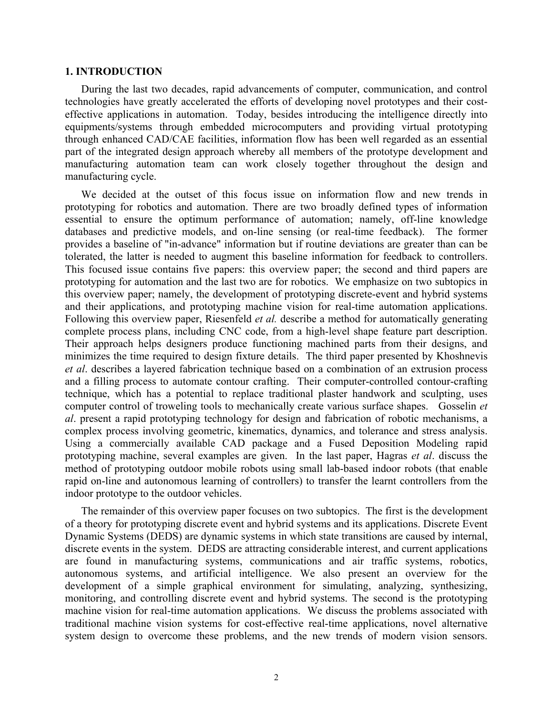#### **1. INTRODUCTION**

During the last two decades, rapid advancements of computer, communication, and control technologies have greatly accelerated the efforts of developing novel prototypes and their costeffective applications in automation. Today, besides introducing the intelligence directly into equipments/systems through embedded microcomputers and providing virtual prototyping through enhanced CAD/CAE facilities, information flow has been well regarded as an essential part of the integrated design approach whereby all members of the prototype development and manufacturing automation team can work closely together throughout the design and manufacturing cycle.

We decided at the outset of this focus issue on information flow and new trends in prototyping for robotics and automation. There are two broadly defined types of information essential to ensure the optimum performance of automation; namely, off-line knowledge databases and predictive models, and on-line sensing (or real-time feedback). The former provides a baseline of "in-advance" information but if routine deviations are greater than can be tolerated, the latter is needed to augment this baseline information for feedback to controllers. This focused issue contains five papers: this overview paper; the second and third papers are prototyping for automation and the last two are for robotics. We emphasize on two subtopics in this overview paper; namely, the development of prototyping discrete-event and hybrid systems and their applications, and prototyping machine vision for real-time automation applications. Following this overview paper, Riesenfeld *et al.* describe a method for automatically generating complete process plans, including CNC code, from a high-level shape feature part description. Their approach helps designers produce functioning machined parts from their designs, and minimizes the time required to design fixture details. The third paper presented by Khoshnevis *et al*. describes a layered fabrication technique based on a combination of an extrusion process and a filling process to automate contour crafting. Their computer-controlled contour-crafting technique, which has a potential to replace traditional plaster handwork and sculpting, uses computer control of troweling tools to mechanically create various surface shapes. Gosselin *et al*. present a rapid prototyping technology for design and fabrication of robotic mechanisms, a complex process involving geometric, kinematics, dynamics, and tolerance and stress analysis. Using a commercially available CAD package and a Fused Deposition Modeling rapid prototyping machine, several examples are given. In the last paper, Hagras *et al*. discuss the method of prototyping outdoor mobile robots using small lab-based indoor robots (that enable rapid on-line and autonomous learning of controllers) to transfer the learnt controllers from the indoor prototype to the outdoor vehicles.

The remainder of this overview paper focuses on two subtopics. The first is the development of a theory for prototyping discrete event and hybrid systems and its applications. Discrete Event Dynamic Systems (DEDS) are dynamic systems in which state transitions are caused by internal, discrete events in the system. DEDS are attracting considerable interest, and current applications are found in manufacturing systems, communications and air traffic systems, robotics, autonomous systems, and artificial intelligence. We also present an overview for the development of a simple graphical environment for simulating, analyzing, synthesizing, monitoring, and controlling discrete event and hybrid systems. The second is the prototyping machine vision for real-time automation applications. We discuss the problems associated with traditional machine vision systems for cost-effective real-time applications, novel alternative system design to overcome these problems, and the new trends of modern vision sensors.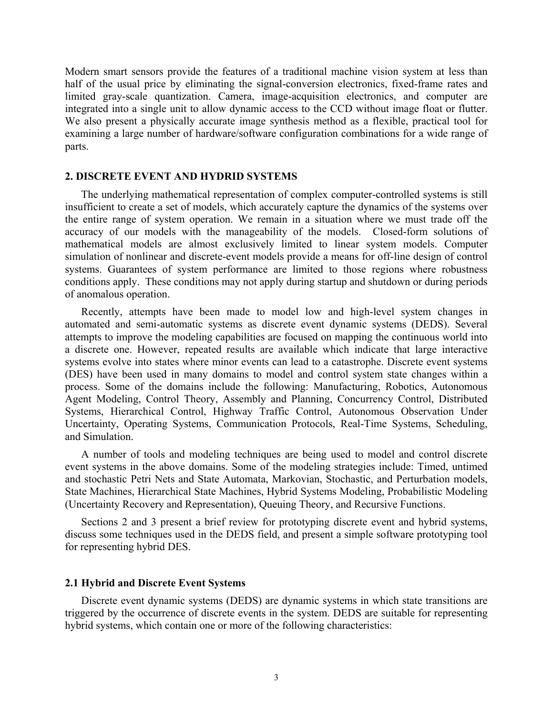Modern smart sensors provide the features of a traditional machine vision system at less than half of the usual price by eliminating the signal-conversion electronics, fixed-frame rates and limited gray-scale quantization. Camera, image-acquisition electronics, and computer are integrated into a single unit to allow dynamic access to the CCD without image float or flutter. We also present a physically accurate image synthesis method as a flexible, practical tool for examining a large number of hardware/software configuration combinations for a wide range of parts.

#### **2. DISCRETE EVENT AND HYDRID SYSTEMS**

The underlying mathematical representation of complex computer-controlled systems is still insufficient to create a set of models, which accurately capture the dynamics of the systems over the entire range of system operation. We remain in a situation where we must trade off the accuracy of our models with the manageability of the models. Closed-form solutions of mathematical models are almost exclusively limited to linear system models. Computer simulation of nonlinear and discrete-event models provide a means for off-line design of control systems. Guarantees of system performance are limited to those regions where robustness conditions apply. These conditions may not apply during startup and shutdown or during periods of anomalous operation.

Recently, attempts have been made to model low and high-level system changes in automated and semi-automatic systems as discrete event dynamic systems (DEDS). Several attempts to improve the modeling capabilities are focused on mapping the continuous world into a discrete one. However, repeated results are available which indicate that large interactive systems evolve into states where minor events can lead to a catastrophe. Discrete event systems (DES) have been used in many domains to model and control system state changes within a process. Some of the domains include the following: Manufacturing, Robotics, Autonomous Agent Modeling, Control Theory, Assembly and Planning, Concurrency Control, Distributed Systems, Hierarchical Control, Highway Traffic Control, Autonomous Observation Under Uncertainty, Operating Systems, Communication Protocols, Real-Time Systems, Scheduling, and Simulation.

A number of tools and modeling techniques are being used to model and control discrete event systems in the above domains. Some of the modeling strategies include: Timed, untimed and stochastic Petri Nets and State Automata, Markovian, Stochastic, and Perturbation models, State Machines, Hierarchical State Machines, Hybrid Systems Modeling, Probabilistic Modeling (Uncertainty Recovery and Representation), Queuing Theory, and Recursive Functions.

Sections 2 and 3 present a brief review for prototyping discrete event and hybrid systems, discuss some techniques used in the DEDS field, and present a simple software prototyping tool for representing hybrid DES.

## **2.1 Hybrid and Discrete Event Systems**

Discrete event dynamic systems (DEDS) are dynamic systems in which state transitions are triggered by the occurrence of discrete events in the system. DEDS are suitable for representing hybrid systems, which contain one or more of the following characteristics: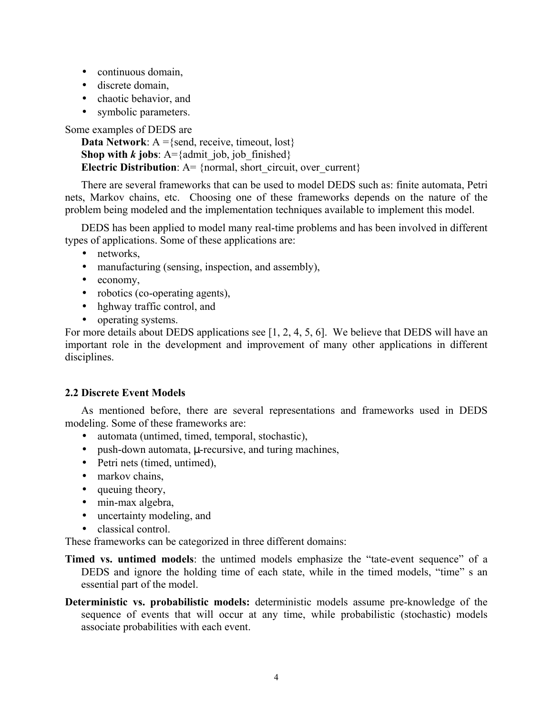- continuous domain,
- discrete domain,
- chaotic behavior, and
- symbolic parameters.

Some examples of DEDS are

**Data Network:**  $A = \{send, receive, timeout, lost\}$ **Shop with** *k* jobs: A={admit\_job, job\_finished} **Electric Distribution**:  $A = \{normal, short circuit, over current\}$ 

There are several frameworks that can be used to model DEDS such as: finite automata, Petri nets, Markov chains, etc. Choosing one of these frameworks depends on the nature of the problem being modeled and the implementation techniques available to implement this model.

DEDS has been applied to model many real-time problems and has been involved in different types of applications. Some of these applications are:

- networks,
- manufacturing (sensing, inspection, and assembly),
- economy,
- robotics (co-operating agents),
- hghway traffic control, and
- operating systems.

For more details about DEDS applications see [1, 2, 4, 5, 6]. We believe that DEDS will have an important role in the development and improvement of many other applications in different disciplines.

## **2.2 Discrete Event Models**

As mentioned before, there are several representations and frameworks used in DEDS modeling. Some of these frameworks are:

- automata (untimed, timed, temporal, stochastic),
- push-down automata, u-recursive, and turing machines,
- Petri nets (timed, untimed).
- markov chains.
- queuing theory,
- min-max algebra,
- uncertainty modeling, and
- classical control.

These frameworks can be categorized in three different domains:

- **Timed vs. untimed models**: the untimed models emphasize the "tate-event sequence" of a DEDS and ignore the holding time of each state, while in the timed models, "time" s an essential part of the model.
- **Deterministic vs. probabilistic models:** deterministic models assume pre-knowledge of the sequence of events that will occur at any time, while probabilistic (stochastic) models associate probabilities with each event.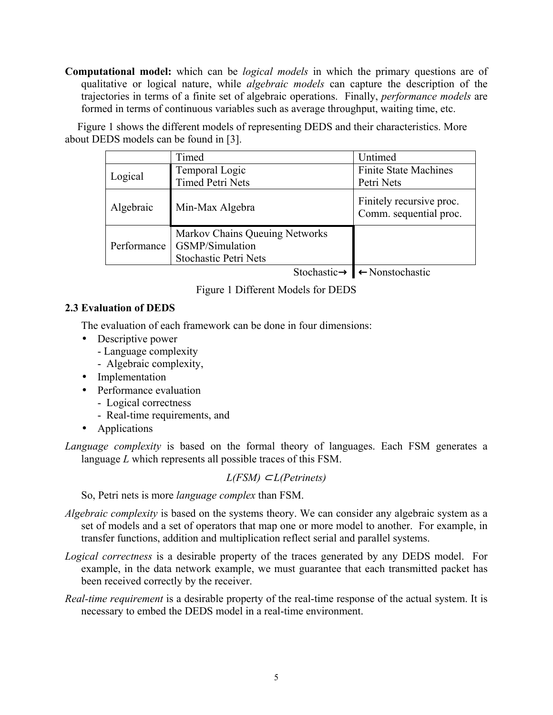**Computational model:** which can be *logical models* in which the primary questions are of qualitative or logical nature, while *algebraic models* can capture the description of the trajectories in terms of a finite set of algebraic operations. Finally, *performance models* are formed in terms of continuous variables such as average throughput, waiting time, etc.

Figure 1 shows the different models of representing DEDS and their characteristics. More about DEDS models can be found in [3].

|             | Timed                                                                             | Untimed                                            |
|-------------|-----------------------------------------------------------------------------------|----------------------------------------------------|
| Logical     | Temporal Logic                                                                    | <b>Finite State Machines</b>                       |
|             | <b>Timed Petri Nets</b>                                                           | Petri Nets                                         |
| Algebraic   | Min-Max Algebra                                                                   | Finitely recursive proc.<br>Comm. sequential proc. |
| Performance | Markov Chains Queuing Networks<br>GSMP/Simulation<br><b>Stochastic Petri Nets</b> |                                                    |

Stochastic→ ←Nonstochastic

Figure 1 Different Models for DEDS

# **2.3 Evaluation of DEDS**

The evaluation of each framework can be done in four dimensions:

- Descriptive power
	- Language complexity
	- Algebraic complexity,
- Implementation
- Performance evaluation
	- Logical correctness
	- Real-time requirements, and
- Applications

*Language complexity* is based on the formal theory of languages. Each FSM generates a language *L* which represents all possible traces of this FSM.

## *L(FSM)* ⊂ *L(Petrinets)*

So, Petri nets is more *language complex* than FSM.

- *Algebraic complexity* is based on the systems theory. We can consider any algebraic system as a set of models and a set of operators that map one or more model to another. For example, in transfer functions, addition and multiplication reflect serial and parallel systems.
- *Logical correctness* is a desirable property of the traces generated by any DEDS model. For example, in the data network example, we must guarantee that each transmitted packet has been received correctly by the receiver.
- *Real-time requirement* is a desirable property of the real-time response of the actual system. It is necessary to embed the DEDS model in a real-time environment.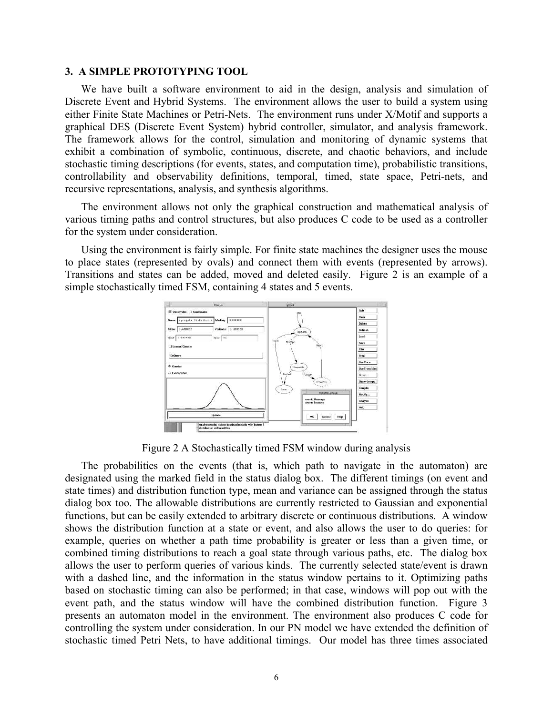#### **3. A SIMPLE PROTOTYPING TOOL**

We have built a software environment to aid in the design, analysis and simulation of Discrete Event and Hybrid Systems. The environment allows the user to build a system using either Finite State Machines or Petri-Nets. The environment runs under X/Motif and supports a graphical DES (Discrete Event System) hybrid controller, simulator, and analysis framework. The framework allows for the control, simulation and monitoring of dynamic systems that exhibit a combination of symbolic, continuous, discrete, and chaotic behaviors, and include stochastic timing descriptions (for events, states, and computation time), probabilistic transitions, controllability and observability definitions, temporal, timed, state space, Petri-nets, and recursive representations, analysis, and synthesis algorithms.

The environment allows not only the graphical construction and mathematical analysis of various timing paths and control structures, but also produces C code to be used as a controller for the system under consideration.

Using the environment is fairly simple. For finite state machines the designer uses the mouse to place states (represented by ovals) and connect them with events (represented by arrows). Transitions and states can be added, moved and deleted easily. Figure 2 is an example of a simple stochastically timed FSM, containing 4 states and 5 events.



Figure 2 A Stochastically timed FSM window during analysis

The probabilities on the events (that is, which path to navigate in the automaton) are designated using the marked field in the status dialog box. The different timings (on event and state times) and distribution function type, mean and variance can be assigned through the status dialog box too. The allowable distributions are currently restricted to Gaussian and exponential functions, but can be easily extended to arbitrary discrete or continuous distributions. A window shows the distribution function at a state or event, and also allows the user to do queries: for example, queries on whether a path time probability is greater or less than a given time, or combined timing distributions to reach a goal state through various paths, etc. The dialog box allows the user to perform queries of various kinds. The currently selected state/event is drawn with a dashed line, and the information in the status window pertains to it. Optimizing paths based on stochastic timing can also be performed; in that case, windows will pop out with the event path, and the status window will have the combined distribution function. Figure 3 presents an automaton model in the environment. The environment also produces C code for controlling the system under consideration. In our PN model we have extended the definition of stochastic timed Petri Nets, to have additional timings. Our model has three times associated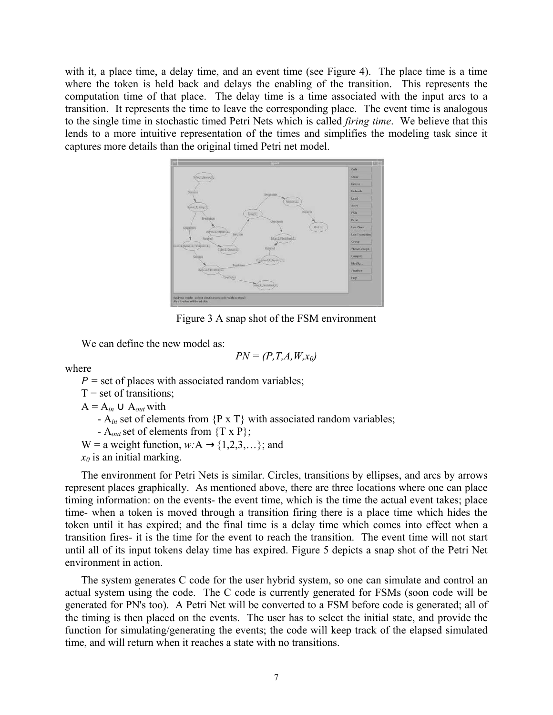with it, a place time, a delay time, and an event time (see Figure 4). The place time is a time where the token is held back and delays the enabling of the transition. This represents the computation time of that place. The delay time is a time associated with the input arcs to a transition. It represents the time to leave the corresponding place. The event time is analogous to the single time in stochastic timed Petri Nets which is called *firing time*. We believe that this lends to a more intuitive representation of the times and simplifies the modeling task since it captures more details than the original timed Petri net model.



Figure 3 A snap shot of the FSM environment

We can define the new model as:

$$
PN = (P, T, A, W, x_0)
$$

where

 $P =$  set of places with associated random variables;

 $T = set of transitions$ :

 $A = A_{in} \cup A_{out}$  with

-  $A_{in}$  set of elements from  $\{P \times T\}$  with associated random variables;

- A*out* set of elements from {T x P};

 $W = a$  weight function,  $w: A \rightarrow \{1,2,3,...\}$ ; and

 $x_0$  is an initial marking.

The environment for Petri Nets is similar. Circles, transitions by ellipses, and arcs by arrows represent places graphically. As mentioned above, there are three locations where one can place timing information: on the events- the event time, which is the time the actual event takes; place time- when a token is moved through a transition firing there is a place time which hides the token until it has expired; and the final time is a delay time which comes into effect when a transition fires- it is the time for the event to reach the transition. The event time will not start until all of its input tokens delay time has expired. Figure 5 depicts a snap shot of the Petri Net environment in action.

The system generates C code for the user hybrid system, so one can simulate and control an actual system using the code. The C code is currently generated for FSMs (soon code will be generated for PN's too). A Petri Net will be converted to a FSM before code is generated; all of the timing is then placed on the events. The user has to select the initial state, and provide the function for simulating/generating the events; the code will keep track of the elapsed simulated time, and will return when it reaches a state with no transitions.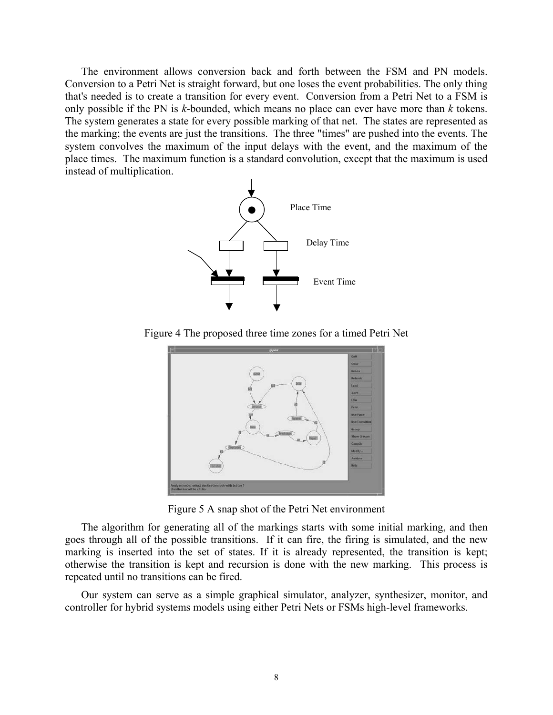The environment allows conversion back and forth between the FSM and PN models. Conversion to a Petri Net is straight forward, but one loses the event probabilities. The only thing that's needed is to create a transition for every event. Conversion from a Petri Net to a FSM is only possible if the PN is *k*-bounded, which means no place can ever have more than *k* tokens. The system generates a state for every possible marking of that net. The states are represented as the marking; the events are just the transitions. The three "times" are pushed into the events. The system convolves the maximum of the input delays with the event, and the maximum of the place times. The maximum function is a standard convolution, except that the maximum is used instead of multiplication.



Figure 4 The proposed three time zones for a timed Petri Net



Figure 5 A snap shot of the Petri Net environment

The algorithm for generating all of the markings starts with some initial marking, and then goes through all of the possible transitions. If it can fire, the firing is simulated, and the new marking is inserted into the set of states. If it is already represented, the transition is kept; otherwise the transition is kept and recursion is done with the new marking. This process is repeated until no transitions can be fired.

Our system can serve as a simple graphical simulator, analyzer, synthesizer, monitor, and controller for hybrid systems models using either Petri Nets or FSMs high-level frameworks.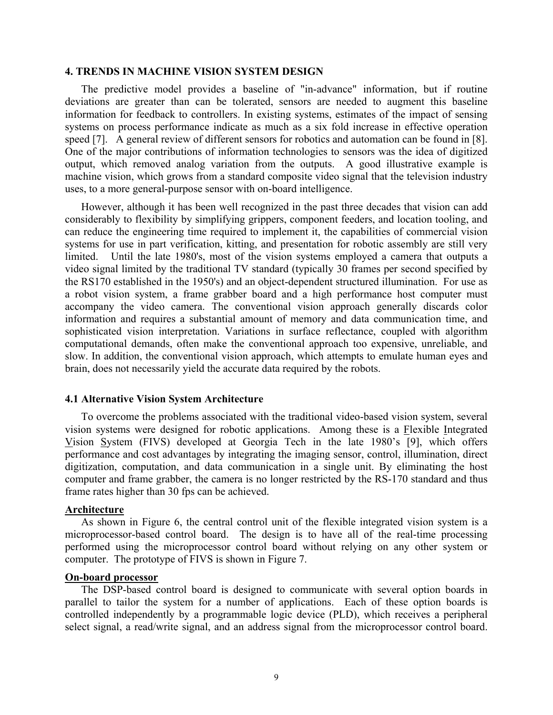### **4. TRENDS IN MACHINE VISION SYSTEM DESIGN**

The predictive model provides a baseline of "in-advance" information, but if routine deviations are greater than can be tolerated, sensors are needed to augment this baseline information for feedback to controllers. In existing systems, estimates of the impact of sensing systems on process performance indicate as much as a six fold increase in effective operation speed [7]. A general review of different sensors for robotics and automation can be found in [8]. One of the major contributions of information technologies to sensors was the idea of digitized output, which removed analog variation from the outputs. A good illustrative example is machine vision, which grows from a standard composite video signal that the television industry uses, to a more general-purpose sensor with on-board intelligence.

However, although it has been well recognized in the past three decades that vision can add considerably to flexibility by simplifying grippers, component feeders, and location tooling, and can reduce the engineering time required to implement it, the capabilities of commercial vision systems for use in part verification, kitting, and presentation for robotic assembly are still very limited. Until the late 1980's, most of the vision systems employed a camera that outputs a video signal limited by the traditional TV standard (typically 30 frames per second specified by the RS170 established in the 1950's) and an object-dependent structured illumination. For use as a robot vision system, a frame grabber board and a high performance host computer must accompany the video camera. The conventional vision approach generally discards color information and requires a substantial amount of memory and data communication time, and sophisticated vision interpretation. Variations in surface reflectance, coupled with algorithm computational demands, often make the conventional approach too expensive, unreliable, and slow. In addition, the conventional vision approach, which attempts to emulate human eyes and brain, does not necessarily yield the accurate data required by the robots.

## **4.1 Alternative Vision System Architecture**

To overcome the problems associated with the traditional video-based vision system, several vision systems were designed for robotic applications. Among these is a Flexible Integrated Vision System (FIVS) developed at Georgia Tech in the late 1980's [9], which offers performance and cost advantages by integrating the imaging sensor, control, illumination, direct digitization, computation, and data communication in a single unit. By eliminating the host computer and frame grabber, the camera is no longer restricted by the RS-170 standard and thus frame rates higher than 30 fps can be achieved.

#### **Architecture**

As shown in Figure 6, the central control unit of the flexible integrated vision system is a microprocessor-based control board. The design is to have all of the real-time processing performed using the microprocessor control board without relying on any other system or computer. The prototype of FIVS is shown in Figure 7.

#### **On-board processor**

The DSP-based control board is designed to communicate with several option boards in parallel to tailor the system for a number of applications. Each of these option boards is controlled independently by a programmable logic device (PLD), which receives a peripheral select signal, a read/write signal, and an address signal from the microprocessor control board.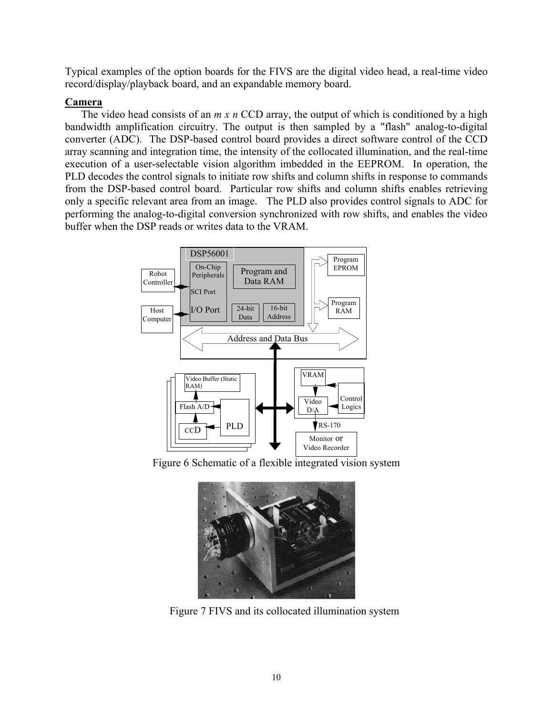Typical examples of the option boards for the FIVS are the digital video head, a real-time video record/display/playback board, and an expandable memory board.

## **Camera**

The video head consists of an *m x n* CCD array, the output of which is conditioned by a high bandwidth amplification circuitry. The output is then sampled by a "flash" analog-to-digital converter (ADC). The DSP-based control board provides a direct software control of the CCD array scanning and integration time, the intensity of the collocated illumination, and the real-time execution of a user-selectable vision algorithm imbedded in the EEPROM. In operation, the PLD decodes the control signals to initiate row shifts and column shifts in response to commands from the DSP-based control board. Particular row shifts and column shifts enables retrieving only a specific relevant area from an image. The PLD also provides control signals to ADC for performing the analog-to-digital conversion synchronized with row shifts, and enables the video buffer when the DSP reads or writes data to the VRAM.



Figure 6 Schematic of a flexible integrated vision system



Figure 7 FIVS and its collocated illumination system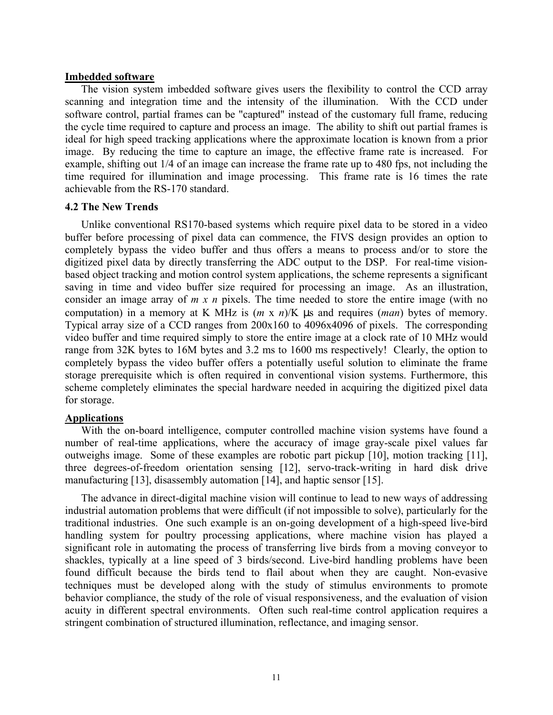### **Imbedded software**

The vision system imbedded software gives users the flexibility to control the CCD array scanning and integration time and the intensity of the illumination. With the CCD under software control, partial frames can be "captured" instead of the customary full frame, reducing the cycle time required to capture and process an image. The ability to shift out partial frames is ideal for high speed tracking applications where the approximate location is known from a prior image. By reducing the time to capture an image, the effective frame rate is increased. For example, shifting out 1/4 of an image can increase the frame rate up to 480 fps, not including the time required for illumination and image processing. This frame rate is 16 times the rate achievable from the RS-170 standard.

## **4.2 The New Trends**

Unlike conventional RS170-based systems which require pixel data to be stored in a video buffer before processing of pixel data can commence, the FIVS design provides an option to completely bypass the video buffer and thus offers a means to process and/or to store the digitized pixel data by directly transferring the ADC output to the DSP. For real-time visionbased object tracking and motion control system applications, the scheme represents a significant saving in time and video buffer size required for processing an image. As an illustration, consider an image array of *m x n* pixels. The time needed to store the entire image (with no computation) in a memory at K MHz is (*m* x *n*)/K µs and requires (*man*) bytes of memory. Typical array size of a CCD ranges from 200x160 to 4096x4096 of pixels. The corresponding video buffer and time required simply to store the entire image at a clock rate of 10 MHz would range from 32K bytes to 16M bytes and 3.2 ms to 1600 ms respectively! Clearly, the option to completely bypass the video buffer offers a potentially useful solution to eliminate the frame storage prerequisite which is often required in conventional vision systems. Furthermore, this scheme completely eliminates the special hardware needed in acquiring the digitized pixel data for storage.

## **Applications**

With the on-board intelligence, computer controlled machine vision systems have found a number of real-time applications, where the accuracy of image gray-scale pixel values far outweighs image. Some of these examples are robotic part pickup [10], motion tracking [11], three degrees-of-freedom orientation sensing [12], servo-track-writing in hard disk drive manufacturing [13], disassembly automation [14], and haptic sensor [15].

The advance in direct-digital machine vision will continue to lead to new ways of addressing industrial automation problems that were difficult (if not impossible to solve), particularly for the traditional industries. One such example is an on-going development of a high-speed live-bird handling system for poultry processing applications, where machine vision has played a significant role in automating the process of transferring live birds from a moving conveyor to shackles, typically at a line speed of 3 birds/second. Live-bird handling problems have been found difficult because the birds tend to flail about when they are caught. Non-evasive techniques must be developed along with the study of stimulus environments to promote behavior compliance, the study of the role of visual responsiveness, and the evaluation of vision acuity in different spectral environments. Often such real-time control application requires a stringent combination of structured illumination, reflectance, and imaging sensor.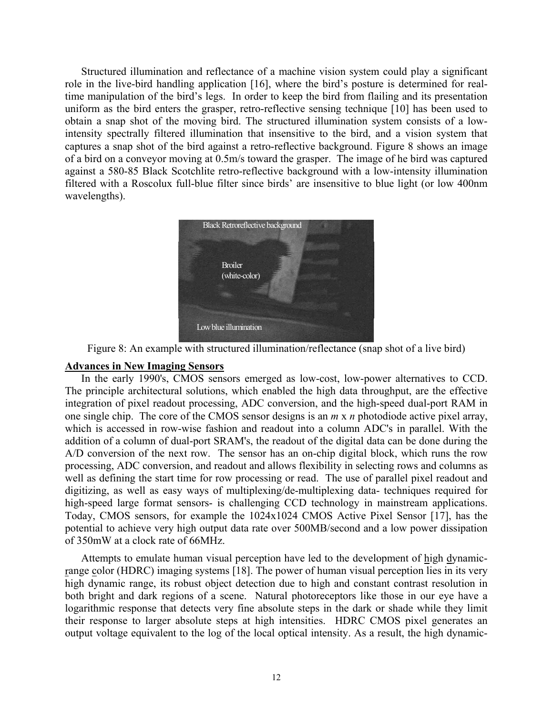Structured illumination and reflectance of a machine vision system could play a significant role in the live-bird handling application [16], where the bird's posture is determined for realtime manipulation of the bird's legs. In order to keep the bird from flailing and its presentation uniform as the bird enters the grasper, retro-reflective sensing technique [10] has been used to obtain a snap shot of the moving bird. The structured illumination system consists of a lowintensity spectrally filtered illumination that insensitive to the bird, and a vision system that captures a snap shot of the bird against a retro-reflective background. Figure 8 shows an image of a bird on a conveyor moving at 0.5m/s toward the grasper. The image of he bird was captured against a 580-85 Black Scotchlite retro-reflective background with a low-intensity illumination filtered with a Roscolux full-blue filter since birds' are insensitive to blue light (or low 400nm wavelengths).



Figure 8: An example with structured illumination/reflectance (snap shot of a live bird)

## **Advances in New Imaging Sensors**

In the early 1990's, CMOS sensors emerged as low-cost, low-power alternatives to CCD. The principle architectural solutions, which enabled the high data throughput, are the effective integration of pixel readout processing, ADC conversion, and the high-speed dual-port RAM in one single chip. The core of the CMOS sensor designs is an *m* x *n* photodiode active pixel array, which is accessed in row-wise fashion and readout into a column ADC's in parallel. With the addition of a column of dual-port SRAM's, the readout of the digital data can be done during the A/D conversion of the next row. The sensor has an on-chip digital block, which runs the row processing, ADC conversion, and readout and allows flexibility in selecting rows and columns as well as defining the start time for row processing or read. The use of parallel pixel readout and digitizing, as well as easy ways of multiplexing/de-multiplexing data- techniques required for high-speed large format sensors- is challenging CCD technology in mainstream applications. Today, CMOS sensors, for example the 1024x1024 CMOS Active Pixel Sensor [17], has the potential to achieve very high output data rate over 500MB/second and a low power dissipation of 350mW at a clock rate of 66MHz.

Attempts to emulate human visual perception have led to the development of high dynamicrange color (HDRC) imaging systems [18]. The power of human visual perception lies in its very high dynamic range, its robust object detection due to high and constant contrast resolution in both bright and dark regions of a scene. Natural photoreceptors like those in our eye have a logarithmic response that detects very fine absolute steps in the dark or shade while they limit their response to larger absolute steps at high intensities. HDRC CMOS pixel generates an output voltage equivalent to the log of the local optical intensity. As a result, the high dynamic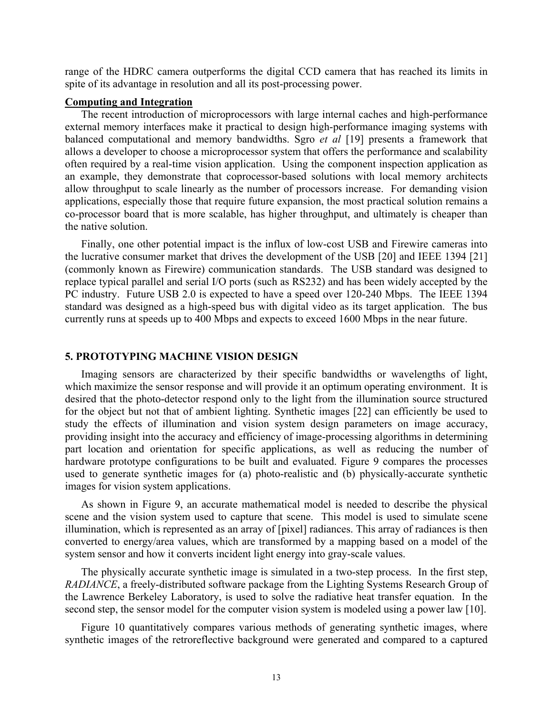range of the HDRC camera outperforms the digital CCD camera that has reached its limits in spite of its advantage in resolution and all its post-processing power.

#### **Computing and Integration**

The recent introduction of microprocessors with large internal caches and high-performance external memory interfaces make it practical to design high-performance imaging systems with balanced computational and memory bandwidths. Sgro *et al* [19] presents a framework that allows a developer to choose a microprocessor system that offers the performance and scalability often required by a real-time vision application. Using the component inspection application as an example, they demonstrate that coprocessor-based solutions with local memory architects allow throughput to scale linearly as the number of processors increase. For demanding vision applications, especially those that require future expansion, the most practical solution remains a co-processor board that is more scalable, has higher throughput, and ultimately is cheaper than the native solution.

Finally, one other potential impact is the influx of low-cost USB and Firewire cameras into the lucrative consumer market that drives the development of the USB [20] and IEEE 1394 [21] (commonly known as Firewire) communication standards. The USB standard was designed to replace typical parallel and serial I/O ports (such as RS232) and has been widely accepted by the PC industry. Future USB 2.0 is expected to have a speed over 120-240 Mbps. The IEEE 1394 standard was designed as a high-speed bus with digital video as its target application. The bus currently runs at speeds up to 400 Mbps and expects to exceed 1600 Mbps in the near future.

#### **5. PROTOTYPING MACHINE VISION DESIGN**

Imaging sensors are characterized by their specific bandwidths or wavelengths of light, which maximize the sensor response and will provide it an optimum operating environment. It is desired that the photo-detector respond only to the light from the illumination source structured for the object but not that of ambient lighting. Synthetic images [22] can efficiently be used to study the effects of illumination and vision system design parameters on image accuracy, providing insight into the accuracy and efficiency of image-processing algorithms in determining part location and orientation for specific applications, as well as reducing the number of hardware prototype configurations to be built and evaluated. Figure 9 compares the processes used to generate synthetic images for (a) photo-realistic and (b) physically-accurate synthetic images for vision system applications.

As shown in Figure 9, an accurate mathematical model is needed to describe the physical scene and the vision system used to capture that scene. This model is used to simulate scene illumination, which is represented as an array of [pixel] radiances. This array of radiances is then converted to energy/area values, which are transformed by a mapping based on a model of the system sensor and how it converts incident light energy into gray-scale values.

The physically accurate synthetic image is simulated in a two-step process. In the first step, *RADIANCE*, a freely-distributed software package from the Lighting Systems Research Group of the Lawrence Berkeley Laboratory, is used to solve the radiative heat transfer equation. In the second step, the sensor model for the computer vision system is modeled using a power law [10].

Figure 10 quantitatively compares various methods of generating synthetic images, where synthetic images of the retroreflective background were generated and compared to a captured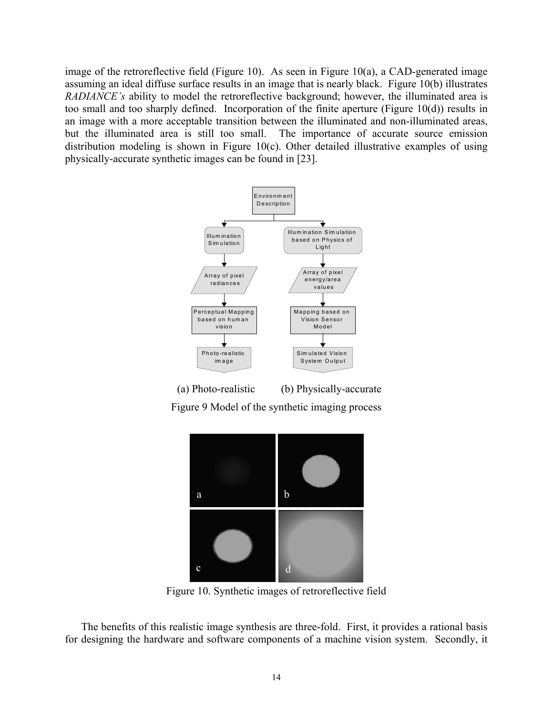image of the retroreflective field (Figure 10). As seen in Figure 10(a), a CAD-generated image assuming an ideal diffuse surface results in an image that is nearly black. Figure 10(b) illustrates *RADIANCE's* ability to model the retroreflective background; however, the illuminated area is too small and too sharply defined. Incorporation of the finite aperture (Figure 10(d)) results in an image with a more acceptable transition between the illuminated and non-illuminated areas, but the illuminated area is still too small. The importance of accurate source emission distribution modeling is shown in Figure 10(c). Other detailed illustrative examples of using physically-accurate synthetic images can be found in [23].



Figure 9 Model of the synthetic imaging process



Figure 10. Synthetic images of retroreflective field

The benefits of this realistic image synthesis are three-fold. First, it provides a rational basis for designing the hardware and software components of a machine vision system. Secondly, it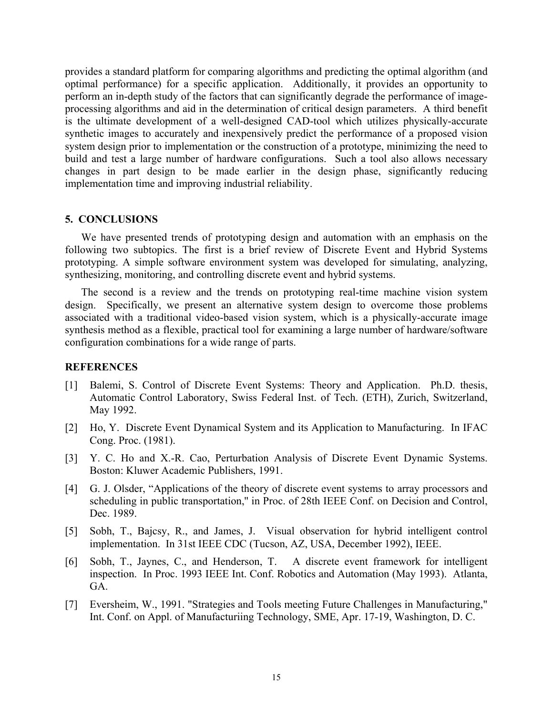provides a standard platform for comparing algorithms and predicting the optimal algorithm (and optimal performance) for a specific application. Additionally, it provides an opportunity to perform an in-depth study of the factors that can significantly degrade the performance of imageprocessing algorithms and aid in the determination of critical design parameters. A third benefit is the ultimate development of a well-designed CAD-tool which utilizes physically-accurate synthetic images to accurately and inexpensively predict the performance of a proposed vision system design prior to implementation or the construction of a prototype, minimizing the need to build and test a large number of hardware configurations. Such a tool also allows necessary changes in part design to be made earlier in the design phase, significantly reducing implementation time and improving industrial reliability.

#### **5. CONCLUSIONS**

We have presented trends of prototyping design and automation with an emphasis on the following two subtopics. The first is a brief review of Discrete Event and Hybrid Systems prototyping. A simple software environment system was developed for simulating, analyzing, synthesizing, monitoring, and controlling discrete event and hybrid systems.

The second is a review and the trends on prototyping real-time machine vision system design. Specifically, we present an alternative system design to overcome those problems associated with a traditional video-based vision system, which is a physically-accurate image synthesis method as a flexible, practical tool for examining a large number of hardware/software configuration combinations for a wide range of parts.

## **REFERENCES**

- [1] Balemi, S. Control of Discrete Event Systems: Theory and Application. Ph.D. thesis, Automatic Control Laboratory, Swiss Federal Inst. of Tech. (ETH), Zurich, Switzerland, May 1992.
- [2] Ho, Y. Discrete Event Dynamical System and its Application to Manufacturing. In IFAC Cong. Proc. (1981).
- [3] Y. C. Ho and X.-R. Cao, Perturbation Analysis of Discrete Event Dynamic Systems. Boston: Kluwer Academic Publishers, 1991.
- [4] G. J. Olsder, "Applications of the theory of discrete event systems to array processors and scheduling in public transportation," in Proc. of 28th IEEE Conf. on Decision and Control, Dec. 1989.
- [5] Sobh, T., Bajcsy, R., and James, J. Visual observation for hybrid intelligent control implementation. In 31st IEEE CDC (Tucson, AZ, USA, December 1992), IEEE.
- [6] Sobh, T., Jaynes, C., and Henderson, T. A discrete event framework for intelligent inspection. In Proc. 1993 IEEE Int. Conf. Robotics and Automation (May 1993). Atlanta, GA.
- [7] Eversheim, W., 1991. "Strategies and Tools meeting Future Challenges in Manufacturing," Int. Conf. on Appl. of Manufacturiing Technology, SME, Apr. 17-19, Washington, D. C.